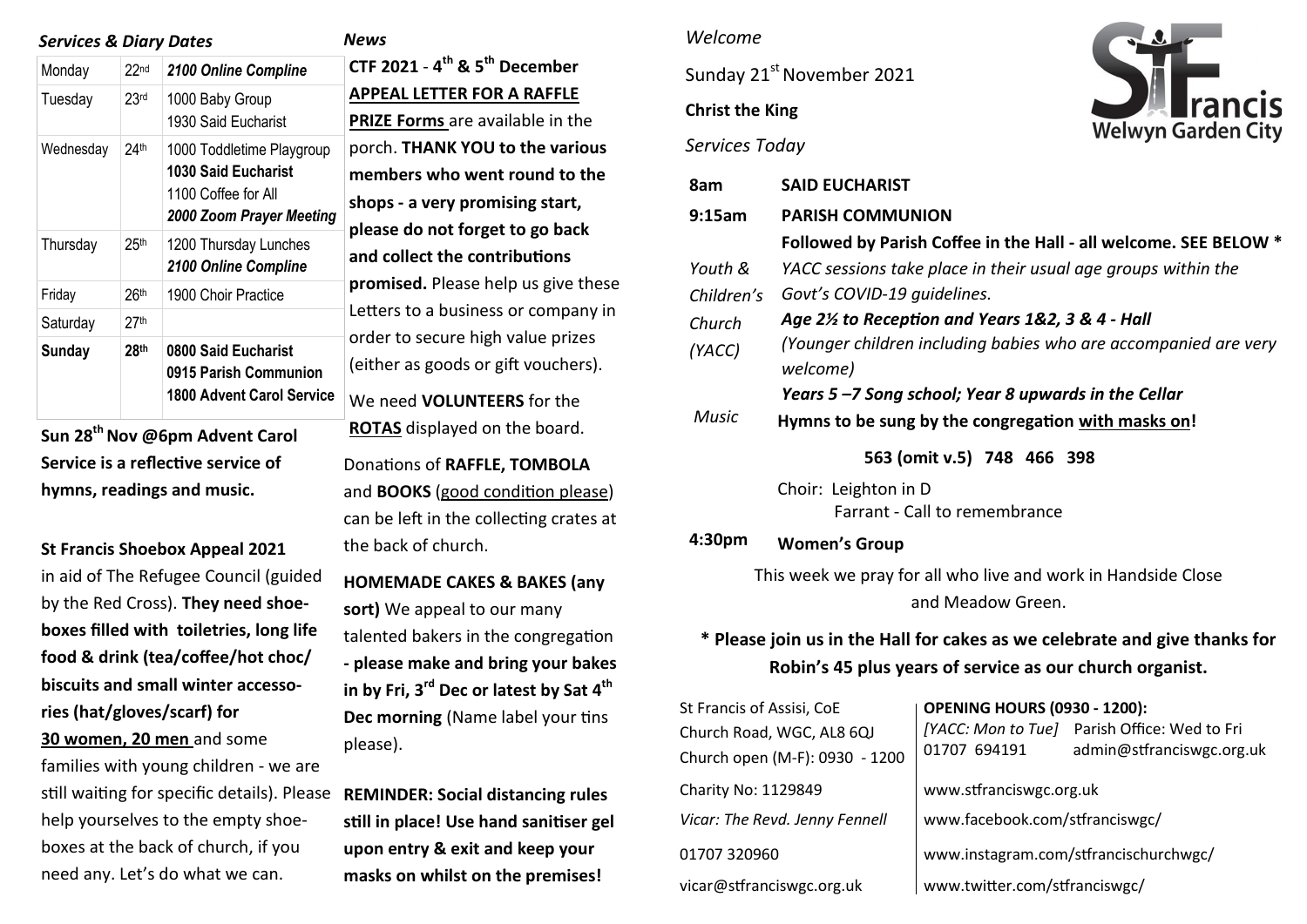| <b>Services &amp; Diary Dates</b> |                  |                                                                                                            | News                                            |  |
|-----------------------------------|------------------|------------------------------------------------------------------------------------------------------------|-------------------------------------------------|--|
| Monday                            | 22 <sub>nd</sub> | 2100 Online Compline                                                                                       | CTF 2                                           |  |
| Tuesday                           | 23 <sub>rd</sub> | 1000 Baby Group<br>1930 Said Eucharist                                                                     | <b>APPE</b><br><b>PRIZE</b>                     |  |
| Wednesday                         | 24 <sup>th</sup> | 1000 Toddletime Playgroup<br><b>1030 Said Eucharist</b><br>1100 Coffee for All<br>2000 Zoom Prayer Meeting | porch<br>mem<br>shop:<br>pleas<br>and c<br>prom |  |
| Thursday                          | 25 <sup>th</sup> | 1200 Thursday Lunches<br>2100 Online Compline                                                              |                                                 |  |
| Friday                            | 26th             | 1900 Choir Practice                                                                                        |                                                 |  |
| Saturday                          | 27th             |                                                                                                            | Lette                                           |  |
| <b>Sunday</b>                     | 28 <sup>th</sup> | 0800 Said Eucharist<br>0915 Parish Communion<br><b>1800 Advent Carol Service</b>                           | order<br>(eith<br>We n                          |  |

**Sun 28th Nov @6pm Advent Carol Service is a reflective service of hymns, readings and music.** 

**St Francis Shoebox Appeal 2021**  in aid of The Refugee Council (guided by the Red Cross). **They need shoeboxes filled with toiletries, long life food & drink (tea/coffee/hot choc/ biscuits and small winter accessories (hat/gloves/scarf) for 30 women, 20 men** and some families with young children - we are still waiting for specific details). Please help yourselves to the empty shoeboxes at the back of church, if you

need any. Let's do what we can.

**CTF 2021** - **4 th & 5th December APPEAL LETTER FOR A RAFFLE PRIZE Forms** are available in the porch. **THANK YOU to the various members who went round to the shops - a very promising start, please do not forget to go back and collect the contributions promised.** Please help us give these etters to a business or company in rder to secure high value prizes either as goods or gift vouchers). We need **VOLUNTEERS** for the **ROTAS** displayed on the board. Donations of **RAFFLE, TOMBOLA** and **BOOKS** (good condition please) can be left in the collecting crates at the back of church. **HOMEMADE CAKES & BAKES (any sort)** We appeal to our many talented bakers in the congregation **- please make and bring your bakes in by Fri, 3rd Dec or latest by Sat 4th Dec morning** (Name label your tins please). **REMINDER: Social distancing rules** 

**still in place! Use hand sanitiser gel upon entry & exit and keep your masks on whilst on the premises!** 

#### *Welcome*

Sunday 21<sup>st</sup> November 2021

# **Christ the King**





| 8am                                                                        | <b>SAID EUCHARIST</b>                                                       |                                     |                                                                  |  |  |
|----------------------------------------------------------------------------|-----------------------------------------------------------------------------|-------------------------------------|------------------------------------------------------------------|--|--|
| 9:15am                                                                     | <b>PARISH COMMUNION</b>                                                     |                                     |                                                                  |  |  |
|                                                                            |                                                                             |                                     | Followed by Parish Coffee in the Hall - all welcome. SEE BELOW * |  |  |
| Youth &                                                                    | YACC sessions take place in their usual age groups within the               |                                     |                                                                  |  |  |
| Children's                                                                 | Govt's COVID-19 guidelines.                                                 |                                     |                                                                  |  |  |
| Church                                                                     | Age 2½ to Reception and Years 1&2, 3 & 4 - Hall                             |                                     |                                                                  |  |  |
| (YACC)                                                                     | (Younger children including babies who are accompanied are very<br>welcome) |                                     |                                                                  |  |  |
| Years 5-7 Song school; Year 8 upwards in the Cellar                        |                                                                             |                                     |                                                                  |  |  |
| <b>Music</b><br>Hymns to be sung by the congregation with masks on!        |                                                                             |                                     |                                                                  |  |  |
| 563 (omit v.5) 748 466 398                                                 |                                                                             |                                     |                                                                  |  |  |
|                                                                            | Choir: Leighton in D                                                        | Farrant - Call to remembrance       |                                                                  |  |  |
| 4:30pm                                                                     | <b>Women's Group</b>                                                        |                                     |                                                                  |  |  |
| This week we pray for all who live and work in Handside Close              |                                                                             |                                     |                                                                  |  |  |
| and Meadow Green.                                                          |                                                                             |                                     |                                                                  |  |  |
| * Please join us in the Hall for cakes as we celebrate and give thanks for |                                                                             |                                     |                                                                  |  |  |
| Robin's 45 plus years of service as our church organist.                   |                                                                             |                                     |                                                                  |  |  |
| St Francis of Assisi, CoE                                                  |                                                                             | <b>OPENING HOURS (0930 - 1200):</b> |                                                                  |  |  |
| Church Road, WGC, AL8 6QJ                                                  |                                                                             |                                     | [YACC: Mon to Tue] Parish Office: Wed to Fri                     |  |  |
| Church open (M-F): 0930 - 1200                                             |                                                                             | 01707 694191                        | admin@stfranciswgc.org.uk                                        |  |  |

Charity No: 1129849 [www.stfranciswgc.org.uk](http://www.stfranciswgc.org.uk) 

*Vicar: The Revd. Jenny Fennell* [www.facebook.com/stfranciswgc/](http://www.facebook.com/stfranciswgc)

01707 320960 www.instagram.com/stfrancischurchwgc/

vicar@stfranciswgc.org.uk www.twitter.com/stfranciswgc/